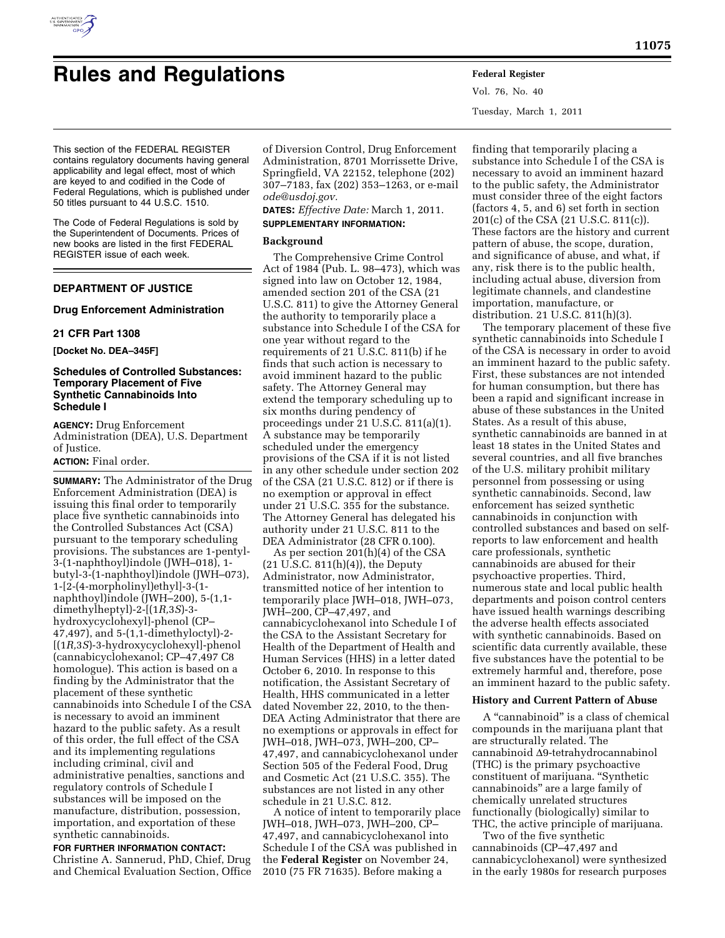

# **Rules and Regulations Federal Register**

Vol. 76, No. 40 Tuesday, March 1, 2011

This section of the FEDERAL REGISTER contains regulatory documents having general applicability and legal effect, most of which are keyed to and codified in the Code of Federal Regulations, which is published under 50 titles pursuant to 44 U.S.C. 1510.

The Code of Federal Regulations is sold by the Superintendent of Documents. Prices of new books are listed in the first FEDERAL REGISTER issue of each week.

# **DEPARTMENT OF JUSTICE**

# **Drug Enforcement Administration**

## **21 CFR Part 1308**

**[Docket No. DEA–345F]** 

# **Schedules of Controlled Substances: Temporary Placement of Five Synthetic Cannabinoids Into Schedule I**

**AGENCY:** Drug Enforcement Administration (DEA), U.S. Department of Justice. **ACTION:** Final order.

# **SUMMARY:** The Administrator of the Drug Enforcement Administration (DEA) is issuing this final order to temporarily place five synthetic cannabinoids into the Controlled Substances Act (CSA) pursuant to the temporary scheduling provisions. The substances are 1-pentyl-3-(1-naphthoyl)indole (JWH–018), 1 butyl-3-(1-naphthoyl)indole (JWH–073), 1-[2-(4-morpholinyl)ethyl]-3-(1 naphthoyl)indole (JWH–200), 5-(1,1 dimethylheptyl)-2-[(1*R,*3*S*)-3 hydroxycyclohexyl]-phenol (CP– 47,497), and 5-(1,1-dimethyloctyl)-2- [(1*R,*3*S*)-3-hydroxycyclohexyl]-phenol (cannabicyclohexanol; CP–47,497 C8 homologue). This action is based on a finding by the Administrator that the placement of these synthetic cannabinoids into Schedule I of the CSA is necessary to avoid an imminent hazard to the public safety. As a result of this order, the full effect of the CSA and its implementing regulations including criminal, civil and administrative penalties, sanctions and regulatory controls of Schedule I substances will be imposed on the manufacture, distribution, possession, importation, and exportation of these synthetic cannabinoids.

**FOR FURTHER INFORMATION CONTACT:**  Christine A. Sannerud, PhD, Chief, Drug and Chemical Evaluation Section, Office of Diversion Control, Drug Enforcement Administration, 8701 Morrissette Drive, Springfield, VA 22152, telephone (202) 307–7183, fax (202) 353–1263, or e-mail *[ode@usdoj.gov.](mailto:ode@usdoj.gov)* 

**DATES:** *Effective Date:* March 1, 2011. **SUPPLEMENTARY INFORMATION:** 

# **Background**

The Comprehensive Crime Control Act of 1984 (Pub. L. 98–473), which was signed into law on October 12, 1984, amended section 201 of the CSA (21 U.S.C. 811) to give the Attorney General the authority to temporarily place a substance into Schedule I of the CSA for one year without regard to the requirements of 21 U.S.C. 811(b) if he finds that such action is necessary to avoid imminent hazard to the public safety. The Attorney General may extend the temporary scheduling up to six months during pendency of proceedings under 21 U.S.C. 811(a)(1). A substance may be temporarily scheduled under the emergency provisions of the CSA if it is not listed in any other schedule under section 202 of the CSA (21 U.S.C. 812) or if there is no exemption or approval in effect under 21 U.S.C. 355 for the substance. The Attorney General has delegated his authority under 21 U.S.C. 811 to the DEA Administrator (28 CFR 0.100).

As per section 201(h)(4) of the CSA (21 U.S.C. 811(h)(4)), the Deputy Administrator, now Administrator, transmitted notice of her intention to temporarily place JWH–018, JWH–073, JWH–200, CP–47,497, and cannabicyclohexanol into Schedule I of the CSA to the Assistant Secretary for Health of the Department of Health and Human Services (HHS) in a letter dated October 6, 2010. In response to this notification, the Assistant Secretary of Health, HHS communicated in a letter dated November 22, 2010, to the then-DEA Acting Administrator that there are no exemptions or approvals in effect for JWH–018, JWH–073, JWH–200, CP– 47,497, and cannabicyclohexanol under Section 505 of the Federal Food, Drug and Cosmetic Act (21 U.S.C. 355). The substances are not listed in any other schedule in 21 U.S.C. 812.

A notice of intent to temporarily place JWH–018, JWH–073, JWH–200, CP– 47,497, and cannabicyclohexanol into Schedule I of the CSA was published in the **Federal Register** on November 24, 2010 (75 FR 71635). Before making a

finding that temporarily placing a substance into Schedule I of the CSA is necessary to avoid an imminent hazard to the public safety, the Administrator must consider three of the eight factors (factors 4, 5, and 6) set forth in section 201(c) of the CSA (21 U.S.C. 811(c)). These factors are the history and current pattern of abuse, the scope, duration, and significance of abuse, and what, if any, risk there is to the public health, including actual abuse, diversion from legitimate channels, and clandestine importation, manufacture, or distribution. 21 U.S.C. 811(h)(3).

The temporary placement of these five synthetic cannabinoids into Schedule I of the CSA is necessary in order to avoid an imminent hazard to the public safety. First, these substances are not intended for human consumption, but there has been a rapid and significant increase in abuse of these substances in the United States. As a result of this abuse, synthetic cannabinoids are banned in at least 18 states in the United States and several countries, and all five branches of the U.S. military prohibit military personnel from possessing or using synthetic cannabinoids. Second, law enforcement has seized synthetic cannabinoids in conjunction with controlled substances and based on selfreports to law enforcement and health care professionals, synthetic cannabinoids are abused for their psychoactive properties. Third, numerous state and local public health departments and poison control centers have issued health warnings describing the adverse health effects associated with synthetic cannabinoids. Based on scientific data currently available, these five substances have the potential to be extremely harmful and, therefore, pose an imminent hazard to the public safety.

## **History and Current Pattern of Abuse**

A ''cannabinoid'' is a class of chemical compounds in the marijuana plant that are structurally related. The cannabinoid Δ9-tetrahydrocannabinol (THC) is the primary psychoactive constituent of marijuana. ''Synthetic cannabinoids'' are a large family of chemically unrelated structures functionally (biologically) similar to THC, the active principle of marijuana.

Two of the five synthetic cannabinoids (CP–47,497 and cannabicyclohexanol) were synthesized in the early 1980s for research purposes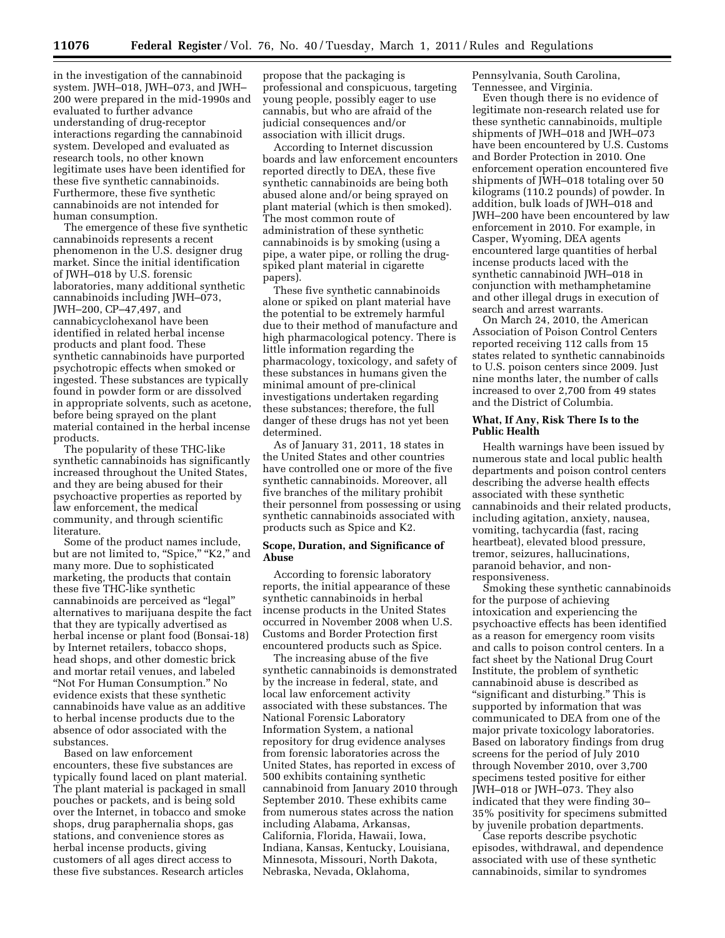in the investigation of the cannabinoid system. JWH–018, JWH–073, and JWH– 200 were prepared in the mid-1990s and evaluated to further advance understanding of drug-receptor interactions regarding the cannabinoid system. Developed and evaluated as research tools, no other known legitimate uses have been identified for these five synthetic cannabinoids. Furthermore, these five synthetic cannabinoids are not intended for human consumption.

The emergence of these five synthetic cannabinoids represents a recent phenomenon in the U.S. designer drug market. Since the initial identification of JWH–018 by U.S. forensic laboratories, many additional synthetic cannabinoids including JWH–073, JWH–200, CP–47,497, and cannabicyclohexanol have been identified in related herbal incense products and plant food. These synthetic cannabinoids have purported psychotropic effects when smoked or ingested. These substances are typically found in powder form or are dissolved in appropriate solvents, such as acetone, before being sprayed on the plant material contained in the herbal incense products.

The popularity of these THC-like synthetic cannabinoids has significantly increased throughout the United States, and they are being abused for their psychoactive properties as reported by law enforcement, the medical community, and through scientific literature.

Some of the product names include, but are not limited to, "Spice," "K2," and many more. Due to sophisticated marketing, the products that contain these five THC-like synthetic cannabinoids are perceived as ''legal'' alternatives to marijuana despite the fact that they are typically advertised as herbal incense or plant food (Bonsai-18) by Internet retailers, tobacco shops, head shops, and other domestic brick and mortar retail venues, and labeled ''Not For Human Consumption.'' No evidence exists that these synthetic cannabinoids have value as an additive to herbal incense products due to the absence of odor associated with the substances.

Based on law enforcement encounters, these five substances are typically found laced on plant material. The plant material is packaged in small pouches or packets, and is being sold over the Internet, in tobacco and smoke shops, drug paraphernalia shops, gas stations, and convenience stores as herbal incense products, giving customers of all ages direct access to these five substances. Research articles

propose that the packaging is professional and conspicuous, targeting young people, possibly eager to use cannabis, but who are afraid of the judicial consequences and/or association with illicit drugs.

According to Internet discussion boards and law enforcement encounters reported directly to DEA, these five synthetic cannabinoids are being both abused alone and/or being sprayed on plant material (which is then smoked). The most common route of administration of these synthetic cannabinoids is by smoking (using a pipe, a water pipe, or rolling the drugspiked plant material in cigarette papers).

These five synthetic cannabinoids alone or spiked on plant material have the potential to be extremely harmful due to their method of manufacture and high pharmacological potency. There is little information regarding the pharmacology, toxicology, and safety of these substances in humans given the minimal amount of pre-clinical investigations undertaken regarding these substances; therefore, the full danger of these drugs has not yet been determined.

As of January 31, 2011, 18 states in the United States and other countries have controlled one or more of the five synthetic cannabinoids. Moreover, all five branches of the military prohibit their personnel from possessing or using synthetic cannabinoids associated with products such as Spice and K2.

# **Scope, Duration, and Significance of Abuse**

According to forensic laboratory reports, the initial appearance of these synthetic cannabinoids in herbal incense products in the United States occurred in November 2008 when U.S. Customs and Border Protection first encountered products such as Spice.

The increasing abuse of the five synthetic cannabinoids is demonstrated by the increase in federal, state, and local law enforcement activity associated with these substances. The National Forensic Laboratory Information System, a national repository for drug evidence analyses from forensic laboratories across the United States, has reported in excess of 500 exhibits containing synthetic cannabinoid from January 2010 through September 2010. These exhibits came from numerous states across the nation including Alabama, Arkansas, California, Florida, Hawaii, Iowa, Indiana, Kansas, Kentucky, Louisiana, Minnesota, Missouri, North Dakota, Nebraska, Nevada, Oklahoma,

Pennsylvania, South Carolina, Tennessee, and Virginia.

Even though there is no evidence of legitimate non-research related use for these synthetic cannabinoids, multiple shipments of JWH–018 and JWH–073 have been encountered by U.S. Customs and Border Protection in 2010. One enforcement operation encountered five shipments of JWH–018 totaling over 50 kilograms (110.2 pounds) of powder. In addition, bulk loads of JWH–018 and JWH–200 have been encountered by law enforcement in 2010. For example, in Casper, Wyoming, DEA agents encountered large quantities of herbal incense products laced with the synthetic cannabinoid JWH–018 in conjunction with methamphetamine and other illegal drugs in execution of search and arrest warrants.

On March 24, 2010, the American Association of Poison Control Centers reported receiving 112 calls from 15 states related to synthetic cannabinoids to U.S. poison centers since 2009. Just nine months later, the number of calls increased to over 2,700 from 49 states and the District of Columbia.

# **What, If Any, Risk There Is to the Public Health**

Health warnings have been issued by numerous state and local public health departments and poison control centers describing the adverse health effects associated with these synthetic cannabinoids and their related products, including agitation, anxiety, nausea, vomiting, tachycardia (fast, racing heartbeat), elevated blood pressure, tremor, seizures, hallucinations, paranoid behavior, and nonresponsiveness.

Smoking these synthetic cannabinoids for the purpose of achieving intoxication and experiencing the psychoactive effects has been identified as a reason for emergency room visits and calls to poison control centers. In a fact sheet by the National Drug Court Institute, the problem of synthetic cannabinoid abuse is described as "significant and disturbing." This is supported by information that was communicated to DEA from one of the major private toxicology laboratories. Based on laboratory findings from drug screens for the period of July 2010 through November 2010, over 3,700 specimens tested positive for either JWH–018 or JWH–073. They also indicated that they were finding 30– 35% positivity for specimens submitted by juvenile probation departments.

Case reports describe psychotic episodes, withdrawal, and dependence associated with use of these synthetic cannabinoids, similar to syndromes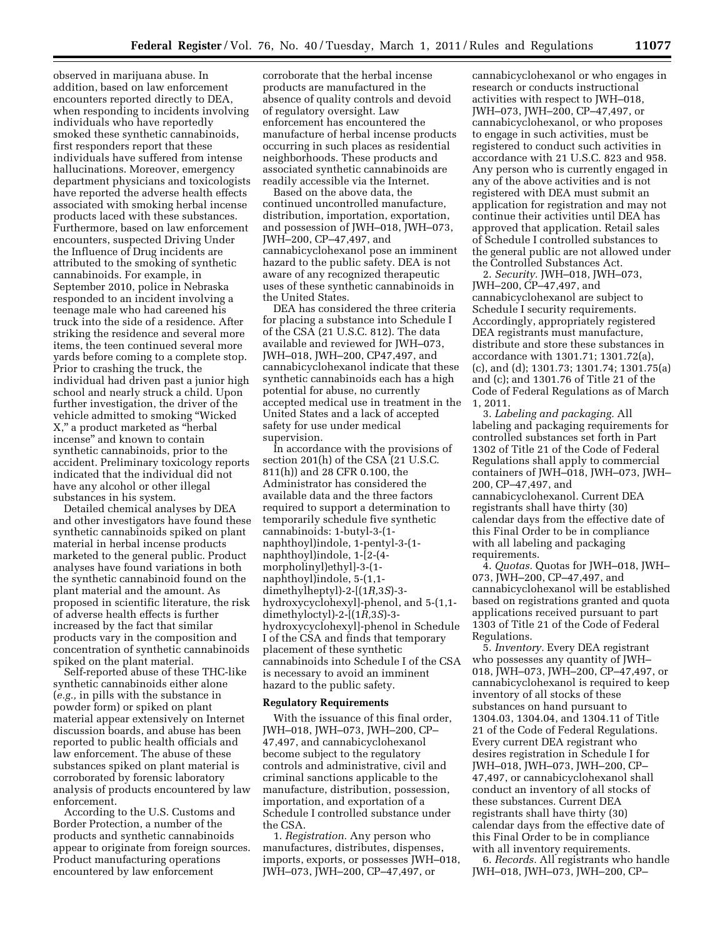observed in marijuana abuse. In addition, based on law enforcement encounters reported directly to DEA, when responding to incidents involving individuals who have reportedly smoked these synthetic cannabinoids, first responders report that these individuals have suffered from intense hallucinations. Moreover, emergency department physicians and toxicologists have reported the adverse health effects associated with smoking herbal incense products laced with these substances. Furthermore, based on law enforcement encounters, suspected Driving Under the Influence of Drug incidents are attributed to the smoking of synthetic cannabinoids. For example, in September 2010, police in Nebraska responded to an incident involving a teenage male who had careened his truck into the side of a residence. After striking the residence and several more items, the teen continued several more yards before coming to a complete stop. Prior to crashing the truck, the individual had driven past a junior high school and nearly struck a child. Upon further investigation, the driver of the vehicle admitted to smoking ''Wicked X,'' a product marketed as ''herbal incense'' and known to contain synthetic cannabinoids, prior to the accident. Preliminary toxicology reports indicated that the individual did not have any alcohol or other illegal substances in his system.

Detailed chemical analyses by DEA and other investigators have found these synthetic cannabinoids spiked on plant material in herbal incense products marketed to the general public. Product analyses have found variations in both the synthetic cannabinoid found on the plant material and the amount. As proposed in scientific literature, the risk of adverse health effects is further increased by the fact that similar products vary in the composition and concentration of synthetic cannabinoids spiked on the plant material.

Self-reported abuse of these THC-like synthetic cannabinoids either alone (*e.g.,* in pills with the substance in powder form) or spiked on plant material appear extensively on Internet discussion boards, and abuse has been reported to public health officials and law enforcement. The abuse of these substances spiked on plant material is corroborated by forensic laboratory analysis of products encountered by law enforcement.

According to the U.S. Customs and Border Protection, a number of the products and synthetic cannabinoids appear to originate from foreign sources. Product manufacturing operations encountered by law enforcement

corroborate that the herbal incense products are manufactured in the absence of quality controls and devoid of regulatory oversight. Law enforcement has encountered the manufacture of herbal incense products occurring in such places as residential neighborhoods. These products and associated synthetic cannabinoids are readily accessible via the Internet.

Based on the above data, the continued uncontrolled manufacture, distribution, importation, exportation, and possession of JWH–018, JWH–073, JWH–200, CP–47,497, and cannabicyclohexanol pose an imminent hazard to the public safety. DEA is not aware of any recognized therapeutic uses of these synthetic cannabinoids in the United States.

DEA has considered the three criteria for placing a substance into Schedule I of the CSA (21 U.S.C. 812). The data available and reviewed for JWH–073, JWH–018, JWH–200, CP47,497, and cannabicyclohexanol indicate that these synthetic cannabinoids each has a high potential for abuse, no currently accepted medical use in treatment in the United States and a lack of accepted safety for use under medical supervision.

In accordance with the provisions of section 201(h) of the CSA (21 U.S.C. 811(h)) and 28 CFR 0.100, the Administrator has considered the available data and the three factors required to support a determination to temporarily schedule five synthetic cannabinoids: 1-butyl-3-(1 naphthoyl)indole, 1-pentyl-3-(1 naphthoyl)indole, 1-[2-(4 morpholinyl)ethyl]-3-(1 naphthoyl)indole, 5-(1,1 dimethylheptyl)-2-[(1*R,*3*S*)-3 hydroxycyclohexyl]-phenol, and 5-(1,1 dimethyloctyl)-2-[(1*R,*3*S*)-3 hydroxycyclohexyl]-phenol in Schedule I of the CSA and finds that temporary placement of these synthetic cannabinoids into Schedule I of the CSA is necessary to avoid an imminent hazard to the public safety.

## **Regulatory Requirements**

With the issuance of this final order, JWH–018, JWH–073, JWH–200, CP– 47,497, and cannabicyclohexanol become subject to the regulatory controls and administrative, civil and criminal sanctions applicable to the manufacture, distribution, possession, importation, and exportation of a Schedule I controlled substance under the CSA.

1. *Registration.* Any person who manufactures, distributes, dispenses, imports, exports, or possesses JWH–018, JWH–073, JWH–200, CP–47,497, or

cannabicyclohexanol or who engages in research or conducts instructional activities with respect to JWH–018, JWH–073, JWH–200, CP–47,497, or cannabicyclohexanol, or who proposes to engage in such activities, must be registered to conduct such activities in accordance with 21 U.S.C. 823 and 958. Any person who is currently engaged in any of the above activities and is not registered with DEA must submit an application for registration and may not continue their activities until DEA has approved that application. Retail sales of Schedule I controlled substances to the general public are not allowed under the Controlled Substances Act.

2. *Security.* JWH–018, JWH–073, JWH–200, CP–47,497, and cannabicyclohexanol are subject to Schedule I security requirements. Accordingly, appropriately registered DEA registrants must manufacture, distribute and store these substances in accordance with 1301.71; 1301.72(a), (c), and (d); 1301.73; 1301.74; 1301.75(a) and (c); and 1301.76 of Title 21 of the Code of Federal Regulations as of March 1, 2011.

3. *Labeling and packaging.* All labeling and packaging requirements for controlled substances set forth in Part 1302 of Title 21 of the Code of Federal Regulations shall apply to commercial containers of JWH–018, JWH–073, JWH– 200, CP–47,497, and cannabicyclohexanol. Current DEA registrants shall have thirty (30) calendar days from the effective date of this Final Order to be in compliance with all labeling and packaging requirements.

4. *Quotas.* Quotas for JWH–018, JWH– 073, JWH–200, CP–47,497, and cannabicyclohexanol will be established based on registrations granted and quota applications received pursuant to part 1303 of Title 21 of the Code of Federal Regulations.

5. *Inventory.* Every DEA registrant who possesses any quantity of JWH– 018, JWH–073, JWH–200, CP–47,497, or cannabicyclohexanol is required to keep inventory of all stocks of these substances on hand pursuant to 1304.03, 1304.04, and 1304.11 of Title 21 of the Code of Federal Regulations. Every current DEA registrant who desires registration in Schedule I for JWH–018, JWH–073, JWH–200, CP– 47,497, or cannabicyclohexanol shall conduct an inventory of all stocks of these substances. Current DEA registrants shall have thirty (30) calendar days from the effective date of this Final Order to be in compliance with all inventory requirements.

6. *Records.* All registrants who handle JWH–018, JWH–073, JWH–200, CP–